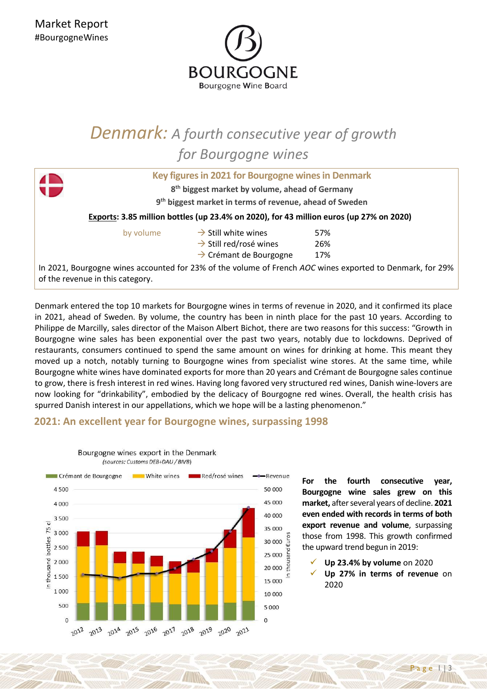

## *Denmark: A fourth consecutive year of growth for Bourgogne wines*

|                                                                                         | Key figures in 2021 for Bourgogne wines in Denmark         |                                                                                                           |  |
|-----------------------------------------------------------------------------------------|------------------------------------------------------------|-----------------------------------------------------------------------------------------------------------|--|
|                                                                                         | 8 <sup>th</sup> biggest market by volume, ahead of Germany |                                                                                                           |  |
| 9 <sup>th</sup> biggest market in terms of revenue, ahead of Sweden                     |                                                            |                                                                                                           |  |
| Exports: 3.85 million bottles (up 23.4% on 2020), for 43 million euros (up 27% on 2020) |                                                            |                                                                                                           |  |
| by volume                                                                               | $\rightarrow$ Still white wines                            | 57%                                                                                                       |  |
|                                                                                         | $\rightarrow$ Still red/rosé wines                         | 26%                                                                                                       |  |
|                                                                                         | $\rightarrow$ Crémant de Bourgogne                         | 17%                                                                                                       |  |
| of the revenue in this category.                                                        |                                                            | In 2021, Bourgogne wines accounted for 23% of the volume of French AOC wines exported to Denmark, for 29% |  |

Denmark entered the top 10 markets for Bourgogne wines in terms of revenue in 2020, and it confirmed its place in 2021, ahead of Sweden. By volume, the country has been in ninth place for the past 10 years. According to Philippe de Marcilly, sales director of the Maison Albert Bichot, there are two reasons for this success: "Growth in Bourgogne wine sales has been exponential over the past two years, notably due to lockdowns. Deprived of restaurants, consumers continued to spend the same amount on wines for drinking at home. This meant they moved up a notch, notably turning to Bourgogne wines from specialist wine stores. At the same time, while Bourgogne white wines have dominated exports for more than 20 years and Crémant de Bourgogne sales continue to grow, there is fresh interest in red wines. Having long favored very structured red wines, Danish wine-lovers are now looking for "drinkability", embodied by the delicacy of Bourgogne red wines. Overall, the health crisis has spurred Danish interest in our appellations, which we hope will be a lasting phenomenon."

## **2021: An excellent year for Bourgogne wines, surpassing 1998**



Bourgogne wines export in the Denmark (sources: Customs DEB+DAU / BIVB)

> **For the fourth consecutive year, Bourgogne wine sales grew on this market,** after several years of decline. **2021 even ended with records in terms of both export revenue and volume**, surpassing those from 1998. This growth confirmed the upward trend begun in 2019:

✓ **Up 23.4% by volume** on 2020 ✓ **Up 27% in terms of revenue** on 2020

a g e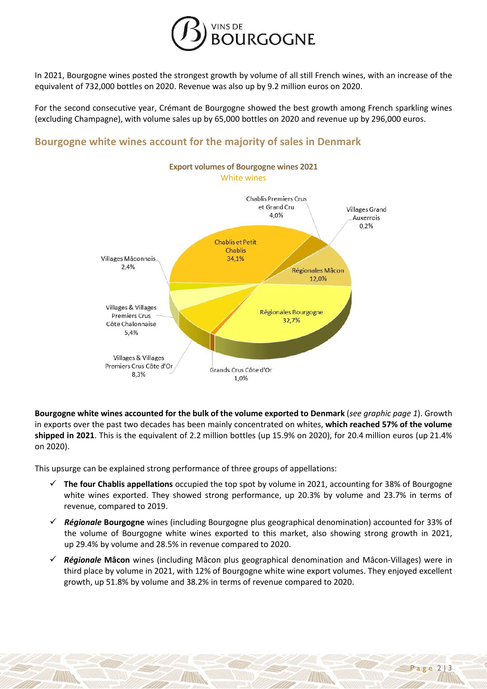

In 2021, Bourgogne wines posted the strongest growth by volume of all still French wines, with an increase of the equivalent of 732,000 bottles on 2020. Revenue was also up by 9.2 million euros on 2020.

For the second consecutive year, Crémant de Bourgogne showed the best growth among French sparkling wines (excluding Champagne), with volume sales up by 65,000 bottles on 2020 and revenue up by 296,000 euros.

## **Bourgogne white wines account for the majority of sales in Denmark**



**Bourgogne white wines accounted for the bulk of the volume exported to Denmark** (*see graphic page 1*). Growth in exports over the past two decades has been mainly concentrated on whites, **which reached 57% of the volume shipped in 2021**. This is the equivalent of 2.2 million bottles (up 15.9% on 2020), for 20.4 million euros (up 21.4% on 2020).

This upsurge can be explained strong performance of three groups of appellations:

- ✓ **The four Chablis appellations** occupied the top spot by volume in 2021, accounting for 38% of Bourgogne white wines exported. They showed strong performance, up 20.3% by volume and 23.7% in terms of revenue, compared to 2019.
- ✓ *Régionale* **Bourgogne** wines (including Bourgogne plus geographical denomination) accounted for 33% of the volume of Bourgogne white wines exported to this market, also showing strong growth in 2021, up 29.4% by volume and 28.5% in revenue compared to 2020.
- ✓ *Régionale* **Mâcon** wines (including Mâcon plus geographical denomination and Mâcon-Villages) were in third place by volume in 2021, with 12% of Bourgogne white wine export volumes. They enjoyed excellent growth, up 51.8% by volume and 38.2% in terms of revenue compared to 2020.

 $Page 2$